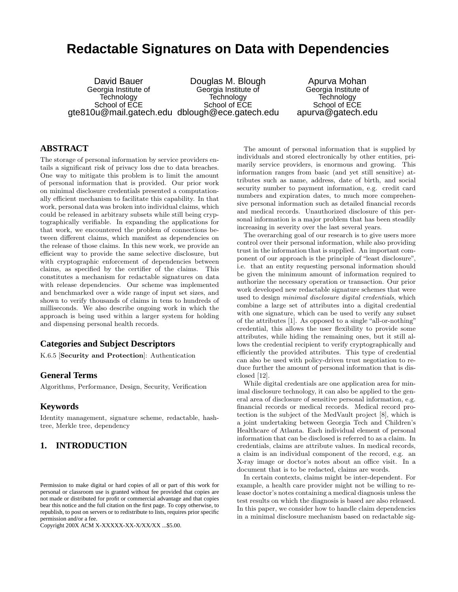# **Redactable Signatures on Data with Dependencies**

David Bauer Georgia Institute of **Technology** School of ECE gte810u@mail.gatech.edu dblough@ece.gatech.edu Douglas M. Blough Georgia Institute of **Technology** School of ECE

Apurva Mohan Georgia Institute of **Technology** School of ECE apurva@gatech.edu

# **ABSTRACT**

The storage of personal information by service providers entails a significant risk of privacy loss due to data breaches. One way to mitigate this problem is to limit the amount of personal information that is provided. Our prior work on minimal disclosure credentials presented a computationally efficient mechanism to facilitate this capability. In that work, personal data was broken into individual claims, which could be released in arbitrary subsets while still being cryptographically verifiable. In expanding the applications for that work, we encountered the problem of connections between different claims, which manifest as dependencies on the release of those claims. In this new work, we provide an efficient way to provide the same selective disclosure, but with cryptographic enforcement of dependencies between claims, as specified by the certifier of the claims. This constitutes a mechanism for redactable signatures on data with release dependencies. Our scheme was implemented and benchmarked over a wide range of input set sizes, and shown to verify thousands of claims in tens to hundreds of milliseconds. We also describe ongoing work in which the approach is being used within a larger system for holding and dispensing personal health records.

### **Categories and Subject Descriptors**

K.6.5 [Security and Protection]: Authentication

### **General Terms**

Algorithms, Performance, Design, Security, Verification

### **Keywords**

Identity management, signature scheme, redactable, hashtree, Merkle tree, dependency

# **1. INTRODUCTION**

Copyright 200X ACM X-XXXXX-XX-X/XX/XX ...\$5.00.

The amount of personal information that is supplied by individuals and stored electronically by other entities, primarily service providers, is enormous and growing. This information ranges from basic (and yet still sensitive) attributes such as name, address, date of birth, and social security number to payment information, e.g. credit card numbers and expiration dates, to much more comprehensive personal information such as detailed financial records and medical records. Unauthorized disclosure of this personal information is a major problem that has been steadily increasing in severity over the last several years.

The overarching goal of our research is to give users more control over their personal information, while also providing trust in the information that is supplied. An important component of our approach is the principle of "least disclosure", i.e. that an entity requesting personal information should be given the minimum amount of information required to authorize the necessary operation or transaction. Our prior work developed new redactable signature schemes that were used to design minimal disclosure digital credentials, which combine a large set of attributes into a digital credential with one signature, which can be used to verify any subset of the attributes [1]. As opposed to a single "all-or-nothing" credential, this allows the user flexibility to provide some attributes, while hiding the remaining ones, but it still allows the credential recipient to verify cryptographically and efficiently the provided attributes. This type of credential can also be used with policy-driven trust negotiation to reduce further the amount of personal information that is disclosed [12].

While digital credentials are one application area for minimal disclosure technology, it can also be applied to the general area of disclosure of sensitive personal information, e.g. financial records or medical records. Medical record protection is the subject of the MedVault project [8], which is a joint undertaking between Georgia Tech and Children's Healthcare of Atlanta. Each individual element of personal information that can be disclosed is referred to as a claim. In credentials, claims are attribute values. In medical records, a claim is an individual component of the record, e.g. an X-ray image or doctor's notes about an office visit. In a document that is to be redacted, claims are words.

In certain contexts, claims might be inter-dependent. For example, a health care provider might not be willing to release doctor's notes containing a medical diagnosis unless the test results on which the diagnosis is based are also released. In this paper, we consider how to handle claim dependencies in a minimal disclosure mechanism based on redactable sig-

Permission to make digital or hard copies of all or part of this work for personal or classroom use is granted without fee provided that copies are not made or distributed for profit or commercial advantage and that copies bear this notice and the full citation on the first page. To copy otherwise, to republish, to post on servers or to redistribute to lists, requires prior specific permission and/or a fee.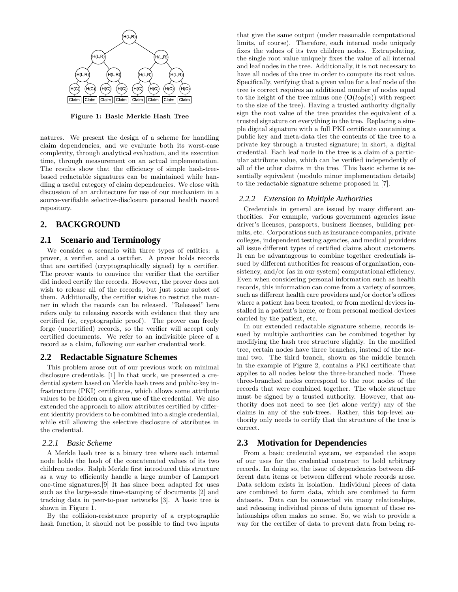

Figure 1: Basic Merkle Hash Tree

natures. We present the design of a scheme for handling claim dependencies, and we evaluate both its worst-case complexity, through analytical evaluation, and its execution time, through measurement on an actual implementation. The results show that the efficiency of simple hash-treebased redactable signatures can be maintained while handling a useful category of claim dependencies. We close with discussion of an architecture for use of our mechanism in a source-verifiable selective-disclosure personal health record repository.

# **2. BACKGROUND**

### **2.1 Scenario and Terminology**

We consider a scenario with three types of entities: a prover, a verifier, and a certifier. A prover holds records that are certified (cryptographically signed) by a certifier. The prover wants to convince the verifier that the certifier did indeed certify the records. However, the prover does not wish to release all of the records, but just some subset of them. Additionally, the certifier wishes to restrict the manner in which the records can be released. "Released" here refers only to releasing records with evidence that they are certified (ie, cryptographic proof). The prover can freely forge (uncertified) records, so the verifier will accept only certified documents. We refer to an indivisible piece of a record as a claim, following our earlier credential work.

### **2.2 Redactable Signature Schemes**

This problem arose out of our previous work on minimal disclosure credentials. [1] In that work, we presented a credential system based on Merkle hash trees and public-key infrastructure (PKI) certificates, which allows some attribute values to be hidden on a given use of the credential. We also extended the approach to allow attributes certified by different identity providers to be combined into a single credential, while still allowing the selective disclosure of attributes in the credential.

#### *2.2.1 Basic Scheme*

A Merkle hash tree is a binary tree where each internal node holds the hash of the concatenated values of its two children nodes. Ralph Merkle first introduced this structure as a way to efficiently handle a large number of Lamport one-time signatures.[9] It has since been adapted for uses such as the large-scale time-stamping of documents [2] and tracking data in peer-to-peer networks [3]. A basic tree is shown in Figure 1.

By the collision-resistance property of a cryptographic hash function, it should not be possible to find two inputs that give the same output (under reasonable computational limits, of course). Therefore, each internal node uniquely fixes the values of its two children nodes. Extrapolating, the single root value uniquely fixes the value of all internal and leaf nodes in the tree. Additionally, it is not necessary to have all nodes of the tree in order to compute its root value. Specifically, verifying that a given value for a leaf node of the tree is correct requires an additional number of nodes equal to the height of the tree minus one  $(O(log(n))$  with respect to the size of the tree). Having a trusted authority digitally sign the root value of the tree provides the equivalent of a trusted signature on everything in the tree. Replacing a simple digital signature with a full PKI certificate containing a public key and meta-data ties the contents of the tree to a private key through a trusted signature; in short, a digital credential. Each leaf node in the tree is a claim of a particular attribute value, which can be verified independently of all of the other claims in the tree. This basic scheme is essentially equivalent (modulo minor implementation details) to the redactable signature scheme proposed in [7].

#### *2.2.2 Extension to Multiple Authorities*

Credentials in general are issued by many different authorities. For example, various government agencies issue driver's licenses, passports, business licenses, building permits, etc. Corporations such as insurance companies, private colleges, independent testing agencies, and medical providers all issue different types of certified claims about customers. It can be advantageous to combine together credentials issued by different authorities for reasons of organization, consistency, and/or (as in our system) computational efficiency. Even when considering personal information such as health records, this information can come from a variety of sources, such as different health care providers and/or doctor's offices where a patient has been treated, or from medical devices installed in a patient's home, or from personal medical devices carried by the patient, etc.

In our extended redactable signature scheme, records issued by multiple authorities can be combined together by modifying the hash tree structure slightly. In the modified tree, certain nodes have three branches, instead of the normal two. The third branch, shown as the middle branch in the example of Figure 2, contains a PKI certificate that applies to all nodes below the three-branched node. These three-branched nodes correspond to the root nodes of the records that were combined together. The whole structure must be signed by a trusted authority. However, that authority does not need to see (let alone verify) any of the claims in any of the sub-trees. Rather, this top-level authority only needs to certify that the structure of the tree is correct.

### **2.3 Motivation for Dependencies**

From a basic credential system, we expanded the scope of our uses for the credential construct to hold arbitrary records. In doing so, the issue of dependencies between different data items or between different whole records arose. Data seldom exists in isolation. Individual pieces of data are combined to form data, which are combined to form datasets. Data can be connected via many relationships, and releasing individual pieces of data ignorant of those relationships often makes no sense. So, we wish to provide a way for the certifier of data to prevent data from being re-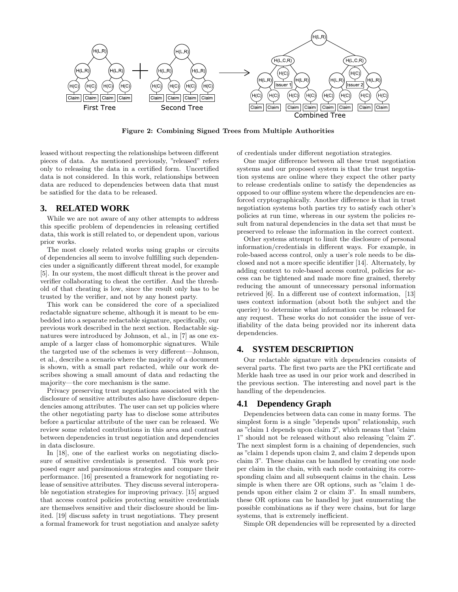

Figure 2: Combining Signed Trees from Multiple Authorities

leased without respecting the relationships between different pieces of data. As mentioned previously, "released" refers only to releasing the data in a certified form. Uncertified data is not considered. In this work, relationships between data are reduced to dependencies between data that must be satisfied for the data to be released.

### **3. RELATED WORK**

While we are not aware of any other attempts to address this specific problem of dependencies in releasing certified data, this work is still related to, or dependent upon, various prior works.

The most closely related works using graphs or circuits of dependencies all seem to involve fulfilling such dependencies under a significantly different threat model, for example [5]. In our system, the most difficult threat is the prover and verifier collaborating to cheat the certifier. And the threshold of that cheating is low, since the result only has to be trusted by the verifier, and not by any honest party.

This work can be considered the core of a specialized redactable signature scheme, although it is meant to be embedded into a separate redactable signature, specifically, our previous work described in the next section. Redactable signatures were introduced by Johnson, et al., in [7] as one example of a larger class of homomorphic signatures. While the targeted use of the schemes is very different—Johnson, et al., describe a scenario where the majority of a document is shown, with a small part redacted, while our work describes showing a small amount of data and redacting the majority—the core mechanism is the same.

Privacy preserving trust negotiations associated with the disclosure of sensitive attributes also have disclosure dependencies among attributes. The user can set up policies where the other negotiating party has to disclose some attributes before a particular attribute of the user can be released. We review some related contributions in this area and contrast between dependencies in trust negotiation and dependencies in data disclosure.

In [18], one of the earliest works on negotiating disclosure of sensitive credentials is presented. This work proposed eager and parsimonious strategies and compare their performance. [16] presented a framework for negotiating release of sensitive attributes. They discuss several interoperable negotiation strategies for improving privacy. [15] argued that access control policies protecting sensitive credentials are themselves sensitive and their disclosure should be limited. [19] discuss safety in trust negotiations. They present a formal framework for trust negotiation and analyze safety

of credentials under different negotiation strategies.

One major difference between all these trust negotiation systems and our proposed system is that the trust negotiation systems are online where they expect the other party to release credentials online to satisfy the dependencies as opposed to our offline system where the dependencies are enforced cryptographically. Another difference is that in trust negotiation systems both parties try to satisfy each other's policies at run time, whereas in our system the policies result from natural dependencies in the data set that must be preserved to release the information in the correct context.

Other systems attempt to limit the disclosure of personal information/credentials in different ways. For example, in role-based access control, only a user's role needs to be disclosed and not a more specific identifier [14]. Alternately, by adding context to role-based access control, policies for access can be tightened and made more fine grained, thereby reducing the amount of unnecessary personal information retrieved [6]. In a different use of context information, [13] uses context information (about both the subject and the querier) to determine what information can be released for any request. These works do not consider the issue of verifiability of the data being provided nor its inherent data dependencies.

### **4. SYSTEM DESCRIPTION**

Our redactable signature with dependencies consists of several parts. The first two parts are the PKI certificate and Merkle hash tree as used in our prior work and described in the previous section. The interesting and novel part is the handling of the dependencies.

### **4.1 Dependency Graph**

Dependencies between data can come in many forms. The simplest form is a single "depends upon" relationship, such as "claim 1 depends upon claim 2", which means that "claim 1" should not be released without also releasing "claim 2". The next simplest form is a chaining of dependencies, such as "claim 1 depends upon claim 2, and claim 2 depends upon claim 3". These chains can be handled by creating one node per claim in the chain, with each node containing its corresponding claim and all subsequent claims in the chain. Less simple is when there are OR options, such as "claim 1 depends upon either claim 2 or claim 3". In small numbers, these OR options can be handled by just enumerating the possible combinations as if they were chains, but for large systems, that is extremely inefficient.

Simple OR dependencies will be represented by a directed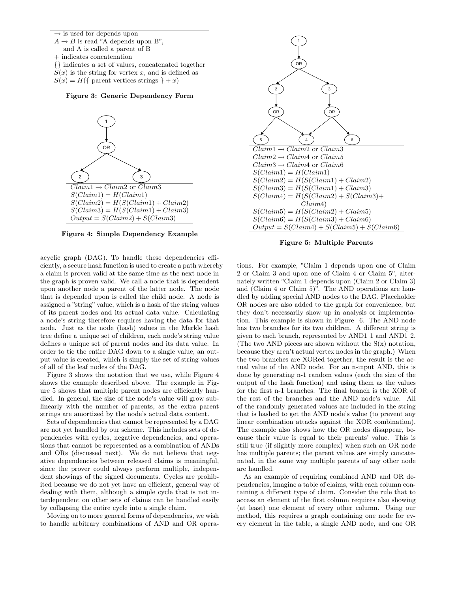

Figure 3: Generic Dependency Form



Figure 4: Simple Dependency Example

acyclic graph (DAG). To handle these dependencies efficiently, a secure hash function is used to create a path whereby a claim is proven valid at the same time as the next node in the graph is proven valid. We call a node that is dependent upon another node a parent of the latter node. The node that is depended upon is called the child node. A node is assigned a "string" value, which is a hash of the string values of its parent nodes and its actual data value. Calculating a node's string therefore requires having the data for that node. Just as the node (hash) values in the Merkle hash tree define a unique set of children, each node's string value defines a unique set of parent nodes and its data value. In order to tie the entire DAG down to a single value, an output value is created, which is simply the set of string values of all of the leaf nodes of the DAG.

Figure 3 shows the notation that we use, while Figure 4 shows the example described above. The example in Figure 5 shows that multiple parent nodes are efficiently handled. In general, the size of the node's value will grow sublinearly with the number of parents, as the extra parent strings are amortized by the node's actual data content.

Sets of dependencies that cannot be represented by a DAG are not yet handled by our scheme. This includes sets of dependencies with cycles, negative dependencies, and operations that cannot be represented as a combination of ANDs and ORs (discussed next). We do not believe that negative dependencies between released claims is meaningful, since the prover could always perform multiple, independent showings of the signed documents. Cycles are prohibited because we do not yet have an efficient, general way of dealing with them, although a simple cycle that is not interdependent on other sets of claims can be handled easily by collapsing the entire cycle into a single claim.

Moving on to more general forms of dependencies, we wish to handle arbitrary combinations of AND and OR opera-



Figure 5: Multiple Parents

tions. For example, "Claim 1 depends upon one of Claim 2 or Claim 3 and upon one of Claim 4 or Claim 5", alternately written "Claim 1 depends upon (Claim 2 or Claim 3) and (Claim 4 or Claim 5)". The AND operations are handled by adding special AND nodes to the DAG. Placeholder OR nodes are also added to the graph for convenience, but they don't necessarily show up in analysis or implementation. This example is shown in Figure 6. The AND node has two branches for its two children. A different string is given to each branch, represented by AND1\_1 and AND1\_2. (The two AND pieces are shown without the  $S(x)$  notation, because they aren't actual vertex nodes in the graph.) When the two branches are XORed together, the result is the actual value of the AND node. For an n-input AND, this is done by generating n-1 random values (each the size of the output of the hash function) and using them as the values for the first n-1 branches. The final branch is the XOR of the rest of the branches and the AND node's value. All of the randomly generated values are included in the string that is hashed to get the AND node's value (to prevent any linear combination attacks against the XOR combination). The example also shows how the OR nodes disappear, because their value is equal to their parents' value. This is still true (if slightly more complex) when such an OR node has multiple parents; the parent values are simply concatenated, in the same way multiple parents of any other node are handled.

As an example of requiring combined AND and OR dependencies, imagine a table of claims, with each column containing a different type of claim. Consider the rule that to access an element of the first column requires also showing (at least) one element of every other column. Using our method, this requires a graph containing one node for every element in the table, a single AND node, and one OR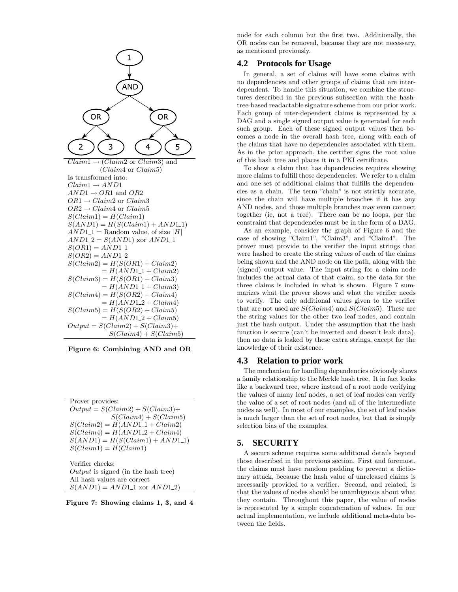

Figure 6: Combining AND and OR

| Prover provides:                   |
|------------------------------------|
| $Output = S(Claim2) + S(Claim3) +$ |
| $S(Claim4) + S(Claim5)$            |
| $S(Claim2) = H(AND1\_1 + Claim2)$  |
| $S(Claim4) = H(AND1.2 + Claim4)$   |
| $S(AND1) = H(S(Claim1) + AND11)$   |
| $S(Claim1) = H(Claim1)$            |
|                                    |
|                                    |

Verifier checks: Output is signed (in the hash tree) All hash values are correct  $S(AND1) = AND1\_1$  xor  $AND1\_2$ 

Figure 7: Showing claims 1, 3, and 4

node for each column but the first two. Additionally, the OR nodes can be removed, because they are not necessary, as mentioned previously.

### **4.2 Protocols for Usage**

In general, a set of claims will have some claims with no dependencies and other groups of claims that are interdependent. To handle this situation, we combine the structures described in the previous subsection with the hashtree-based readactable signature scheme from our prior work. Each group of inter-dependent claims is represented by a DAG and a single signed output value is generated for each such group. Each of these signed output values then becomes a node in the overall hash tree, along with each of the claims that have no dependencies associated with them. As in the prior approach, the certifier signs the root value of this hash tree and places it in a PKI certificate.

To show a claim that has dependencies requires showing more claims to fulfill those dependencies. We refer to a claim and one set of additional claims that fulfills the dependencies as a chain. The term "chain" is not strictly accurate, since the chain will have multiple branches if it has any AND nodes, and those multiple branches may even connect together (ie, not a tree). There can be no loops, per the constraint that dependencies must be in the form of a DAG.

As an example, consider the graph of Figure 6 and the case of showing "Claim1", "Claim3", and "Claim4". The prover must provide to the verifier the input strings that were hashed to create the string values of each of the claims being shown and the AND node on the path, along with the (signed) output value. The input string for a claim node includes the actual data of that claim, so the data for the three claims is included in what is shown. Figure 7 summarizes what the prover shows and what the verifier needs to verify. The only additional values given to the verifier that are not used are  $S(Claim4)$  and  $S(Claim5)$ . These are the string values for the other two leaf nodes, and contain just the hash output. Under the assumption that the hash function is secure (can't be inverted and doesn't leak data), then no data is leaked by these extra strings, except for the knowledge of their existence.

### **4.3 Relation to prior work**

The mechanism for handling dependencies obviously shows a family relationship to the Merkle hash tree. It in fact looks like a backward tree, where instead of a root node verifying the values of many leaf nodes, a set of leaf nodes can verify the value of a set of root nodes (and all of the intermediate nodes as well). In most of our examples, the set of leaf nodes is much larger than the set of root nodes, but that is simply selection bias of the examples.

## **5. SECURITY**

A secure scheme requires some additional details beyond those described in the previous section. First and foremost, the claims must have random padding to prevent a dictionary attack, because the hash value of unreleased claims is necessarily provided to a verifier. Second, and related, is that the values of nodes should be unambiguous about what they contain. Throughout this paper, the value of nodes is represented by a simple concatenation of values. In our actual implementation, we include additional meta-data between the fields.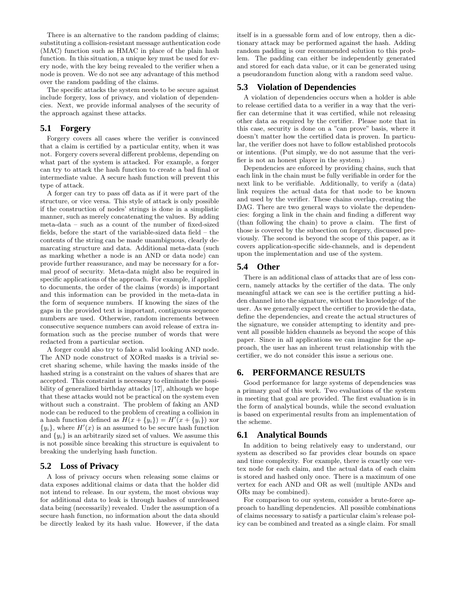There is an alternative to the random padding of claims; substituting a collision-resistant message authentication code (MAC) function such as HMAC in place of the plain hash function. In this situation, a unique key must be used for every node, with the key being revealed to the verifier when a node is proven. We do not see any advantage of this method over the random padding of the claims.

The specific attacks the system needs to be secure against include forgery, loss of privacy, and violation of dependencies. Next, we provide informal analyses of the security of the approach against these attacks.

### **5.1 Forgery**

Forgery covers all cases where the verifier is convinced that a claim is certified by a particular entity, when it was not. Forgery covers several different problems, depending on what part of the system is attacked. For example, a forger can try to attack the hash function to create a bad final or intermediate value. A secure hash function will prevent this type of attack.

A forger can try to pass off data as if it were part of the structure, or vice versa. This style of attack is only possible if the construction of nodes' strings is done in a simplistic manner, such as merely concatenating the values. By adding meta-data – such as a count of the number of fixed-sized fields, before the start of the variable-sized data field – the contents of the string can be made unambiguous, clearly demarcating structure and data. Additional meta-data (such as marking whether a node is an AND or data node) can provide further reassurance, and may be necessary for a formal proof of security. Meta-data might also be required in specific applications of the approach. For example, if applied to documents, the order of the claims (words) is important and this information can be provided in the meta-data in the form of sequence numbers. If knowing the sizes of the gaps in the provided text is important, contiguous sequence numbers are used. Otherwise, random increments between consecutive sequence numbers can avoid release of extra information such as the precise number of words that were redacted from a particular section.

A forger could also try to fake a valid looking AND node. The AND node construct of XORed masks is a trivial secret sharing scheme, while having the masks inside of the hashed string is a constraint on the values of shares that are accepted. This constraint is necessary to eliminate the possibility of generalized birthday attacks [17], although we hope that these attacks would not be practical on the system even without such a constraint. The problem of faking an AND node can be reduced to the problem of creating a collision in a hash function defined as  $H(x + \{y_i\}) = H'(x + \{y_i\})$  xor  ${y_i}$ , where  $H'(x)$  is an assumed to be secure hash function and  $\{y_i\}$  is an arbitrarily sized set of values. We assume this is not possible since breaking this structure is equivalent to breaking the underlying hash function.

### **5.2 Loss of Privacy**

A loss of privacy occurs when releasing some claims or data exposes additional claims or data that the holder did not intend to release. In our system, the most obvious way for additional data to leak is through hashes of unreleased data being (necessarily) revealed. Under the assumption of a secure hash function, no information about the data should be directly leaked by its hash value. However, if the data itself is in a guessable form and of low entropy, then a dictionary attack may be performed against the hash. Adding random padding is our recommended solution to this problem. The padding can either be independently generated and stored for each data value, or it can be generated using a pseudorandom function along with a random seed value.

## **5.3 Violation of Dependencies**

A violation of dependencies occurs when a holder is able to release certified data to a verifier in a way that the verifier can determine that it was certified, while not releasing other data as required by the certifier. Please note that in this case, security is done on a "can prove" basis, where it doesn't matter how the certified data is proven. In particular, the verifier does not have to follow established protocols or intentions. (Put simply, we do not assume that the verifier is not an honest player in the system.)

Dependencies are enforced by providing chains, such that each link in the chain must be fully verifiable in order for the next link to be verifiable. Additionally, to verify a (data) link requires the actual data for that node to be known and used by the verifier. These chains overlap, creating the DAG. There are two general ways to violate the dependencies: forging a link in the chain and finding a different way (than following the chain) to prove a claim. The first of those is covered by the subsection on forgery, discussed previously. The second is beyond the scope of this paper, as it covers application-specific side-channels, and is dependent upon the implementation and use of the system.

### **5.4 Other**

There is an additional class of attacks that are of less concern, namely attacks by the certifier of the data. The only meaningful attack we can see is the certifier putting a hidden channel into the signature, without the knowledge of the user. As we generally expect the certifier to provide the data, define the dependencies, and create the actual structures of the signature, we consider attempting to identity and prevent all possible hidden channels as beyond the scope of this paper. Since in all applications we can imagine for the approach, the user has an inherent trust relationship with the certifier, we do not consider this issue a serious one.

### **6. PERFORMANCE RESULTS**

Good performance for large systems of dependencies was a primary goal of this work. Two evaluations of the system in meeting that goal are provided. The first evaluation is in the form of analytical bounds, while the second evaluation is based on experimental results from an implementation of the scheme.

### **6.1 Analytical Bounds**

In addition to being relatively easy to understand, our system as described so far provides clear bounds on space and time complexity. For example, there is exactly one vertex node for each claim, and the actual data of each claim is stored and hashed only once. There is a maximum of one vertex for each AND and OR as well (multiple ANDs and ORs may be combined).

For comparison to our system, consider a brute-force approach to handling dependencies. All possible combinations of claims necessary to satisfy a particular claim's release policy can be combined and treated as a single claim. For small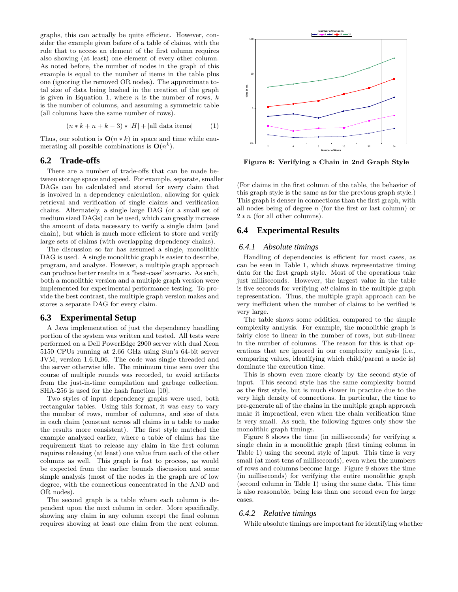graphs, this can actually be quite efficient. However, consider the example given before of a table of claims, with the rule that to access an element of the first column requires also showing (at least) one element of every other column. As noted before, the number of nodes in the graph of this example is equal to the number of items in the table plus one (ignoring the removed OR nodes). The approximate total size of data being hashed in the creation of the graph is given in Equation 1, where  $n$  is the number of rows,  $k$ is the number of columns, and assuming a symmetric table (all columns have the same number of rows).

$$
(n*k + n + k - 3) * |H| + |all data items|
$$
 (1)

Thus, our solution is  $O(n*k)$  in space and time while enumerating all possible combinations is  $O(n^k)$ .

### **6.2 Trade-offs**

There are a number of trade-offs that can be made between storage space and speed. For example, separate, smaller DAGs can be calculated and stored for every claim that is involved in a dependency calculation, allowing for quick retrieval and verification of single claims and verification chains. Alternately, a single large DAG (or a small set of medium sized DAGs) can be used, which can greatly increase the amount of data necessary to verify a single claim (and chain), but which is much more efficient to store and verify large sets of claims (with overlapping dependency chains).

The discussion so far has assumed a single, monolithic DAG is used. A single monolithic graph is easier to describe, program, and analyze. However, a multiple graph approach can produce better results in a "best-case" scenario. As such, both a monolithic version and a multiple graph version were implemented for experimental performance testing. To provide the best contrast, the multiple graph version makes and stores a separate DAG for every claim.

#### **6.3 Experimental Setup**

A Java implementation of just the dependency handling portion of the system was written and tested. All tests were performed on a Dell PowerEdge 2900 server with dual Xeon 5150 CPUs running at 2.66 GHz using Sun's 64-bit server JVM, version 1.6.0 06. The code was single threaded and the server otherwise idle. The minimum time seen over the course of multiple rounds was recorded, to avoid artifacts from the just-in-time compilation and garbage collection. SHA-256 is used for the hash function [10].

Two styles of input dependency graphs were used, both rectangular tables. Using this format, it was easy to vary the number of rows, number of columns, and size of data in each claim (constant across all claims in a table to make the results more consistent). The first style matched the example analyzed earlier, where a table of claims has the requirement that to release any claim in the first column requires releasing (at least) one value from each of the other columns as well. This graph is fast to process, as would be expected from the earlier bounds discussion and some simple analysis (most of the nodes in the graph are of low degree, with the connections concentrated in the AND and OR nodes).

The second graph is a table where each column is dependent upon the next column in order. More specifically, showing any claim in any column except the final column requires showing at least one claim from the next column.



Figure 8: Verifying a Chain in 2nd Graph Style

(For claims in the first column of the table, the behavior of this graph style is the same as for the previous graph style.) This graph is denser in connections than the first graph, with all nodes being of degree  $n$  (for the first or last column) or  $2 * n$  (for all other columns).

### **6.4 Experimental Results**

#### *6.4.1 Absolute timings*

Handling of dependencies is efficient for most cases, as can be seen in Table 1, which shows representative timing data for the first graph style. Most of the operations take just milliseconds. However, the largest value in the table is five seconds for verifying all claims in the multiple graph representation. Thus, the multiple graph approach can be very inefficient when the number of claims to be verified is very large.

The table shows some oddities, compared to the simple complexity analysis. For example, the monolithic graph is fairly close to linear in the number of rows, but sub-linear in the number of columns. The reason for this is that operations that are ignored in our complexity analysis (i.e., comparing values, identifying which child/parent a node is) dominate the execution time.

This is shown even more clearly by the second style of input. This second style has the same complexity bound as the first style, but is much slower in practice due to the very high density of connections. In particular, the time to pre-generate all of the chains in the multiple graph approach make it impractical, even when the chain verification time is very small. As such, the following figures only show the monolithic graph timings.

Figure 8 shows the time (in milliseconds) for verifying a single chain in a monolithic graph (first timing column in Table 1) using the second style of input. This time is very small (at most tens of milliseconds), even when the numbers of rows and columns become large. Figure 9 shows the time (in milliseconds) for verifying the entire monolithic graph (second column in Table 1) using the same data. This time is also reasonable, being less than one second even for large cases.

#### *6.4.2 Relative timings*

While absolute timings are important for identifying whether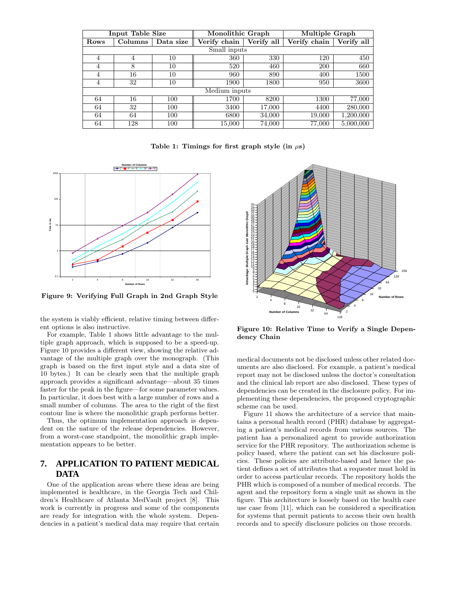| <b>Input Table Size</b> |         |           | Monolithic Graph |            | Multiple Graph |            |  |
|-------------------------|---------|-----------|------------------|------------|----------------|------------|--|
| Rows                    | Columns | Data size | Verify chain     | Verify all | Verify chain   | Verify all |  |
| Small inputs            |         |           |                  |            |                |            |  |
| 4                       |         | 10        | 360              | 330        | 120            | 450        |  |
| 4                       | 8       | 10        | 520              | 460        | 200            | 660        |  |
| 4                       | 16      | 10        | 960              | 890        | 400            | 1500       |  |
| 4                       | 32      | 10        | 1900             | 1800       | 950            | 3600       |  |
| Medium inputs           |         |           |                  |            |                |            |  |
| 64                      | 16      | 100       | 1700             | 8200       | 1300           | 77,000     |  |
| 64                      | 32      | 100       | 3400             | 17,000     | 4400           | 280,000    |  |
| 64                      | 64      | 100       | 6800             | 34,000     | 19,000         | 1,200,000  |  |
| 64                      | 128     | 100       | 15,000           | 74,000     | 77,000         | 5,000,000  |  |

Table 1: Timings for first graph style (in  $\mu$ s)



Figure 9: Verifying Full Graph in 2nd Graph Style

the system is viably efficient, relative timing between different options is also instructive.

For example, Table 1 shows little advantage to the multiple graph approach, which is supposed to be a speed-up. Figure 10 provides a different view, showing the relative advantage of the multiple graph over the monograph. (This graph is based on the first input style and a data size of 10 bytes.) It can be clearly seen that the multiple graph approach provides a significant advantage—about 35 times faster for the peak in the figure—for some parameter values. In particular, it does best with a large number of rows and a small number of columns. The area to the right of the first contour line is where the monolithic graph performs better.

Thus, the optimum implementation approach is dependent on the nature of the release dependencies. However, from a worst-case standpoint, the monolithic graph implementation appears to be better.

# **7. APPLICATION TO PATIENT MEDICAL DATA**

One of the application areas where these ideas are being implemented is healthcare, in the Georgia Tech and Children's Healthcare of Atlanta MedVault project [8]. This work is currently in progress and some of the components are ready for integration with the whole system. Dependencies in a patient's medical data may require that certain



Figure 10: Relative Time to Verify a Single Dependency Chain

medical documents not be disclosed unless other related documents are also disclosed. For example, a patient's medical report may not be disclosed unless the doctor's consultation and the clinical lab report are also disclosed. These types of dependencies can be created in the disclosure policy. For implementing these dependencies, the proposed cryptographic scheme can be used.

Figure 11 shows the architecture of a service that maintains a personal health record (PHR) database by aggregating a patient's medical records from various sources. The patient has a personalized agent to provide authorization service for the PHR repository. The authorization scheme is policy based, where the patient can set his disclosure policies. These policies are attribute-based and hence the patient defines a set of attributes that a requester must hold in order to access particular records. The repository holds the PHR which is composed of a number of medical records. The agent and the repository form a single unit as shown in the figure. This architecture is loosely based on the health care use case from [11], which can be considered a specification for systems that permit patients to access their own health records and to specify disclosure policies on those records.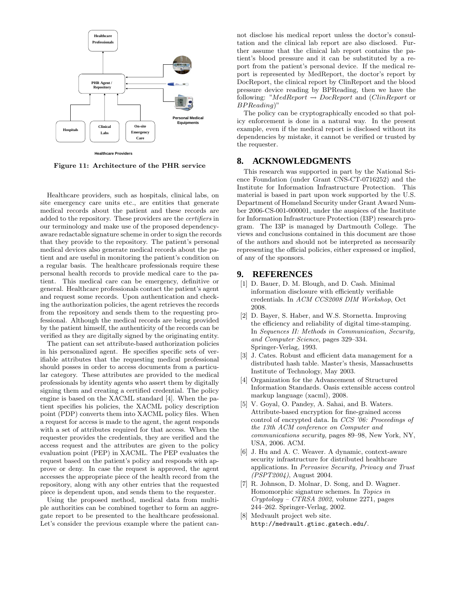

Figure 11: Architecture of the PHR service

Healthcare providers, such as hospitals, clinical labs, on site emergency care units etc., are entities that generate medical records about the patient and these records are added to the repository. These providers are the certifiers in our terminology and make use of the proposed dependencyaware redactable signature scheme in order to sign the records that they provide to the repository. The patient's personal medical devices also generate medical records about the patient and are useful in monitoring the patient's condition on a regular basis. The healthcare professionals require these personal health records to provide medical care to the patient. This medical care can be emergency, definitive or general. Healthcare professionals contact the patient's agent and request some records. Upon authentication and checking the authorization policies, the agent retrieves the records from the repository and sends them to the requesting professional. Although the medical records are being provided by the patient himself, the authenticity of the records can be verified as they are digitally signed by the originating entity.

The patient can set attribute-based authorization policies in his personalized agent. He specifies specific sets of verifiable attributes that the requesting medical professional should posses in order to access documents from a particular category. These attributes are provided to the medical professionals by identity agents who assert them by digitally signing them and creating a certified credential. The policy engine is based on the XACML standard [4]. When the patient specifies his policies, the XACML policy description point (PDP) converts them into XACML policy files. When a request for access is made to the agent, the agent responds with a set of attributes required for that access. When the requester provides the credentials, they are verified and the access request and the attributes are given to the policy evaluation point (PEP) in XACML. The PEP evaluates the request based on the patient's policy and responds with approve or deny. In case the request is approved, the agent accesses the appropriate piece of the health record from the repository, along with any other entries that the requested piece is dependent upon, and sends them to the requester.

Using the proposed method, medical data from multiple authorities can be combined together to form an aggregate report to be presented to the healthcare professional. Let's consider the previous example where the patient cannot disclose his medical report unless the doctor's consultation and the clinical lab report are also disclosed. Further assume that the clinical lab report contains the patient's blood pressure and it can be substituted by a report from the patient's personal device. If the medical report is represented by MedReport, the doctor's report by DocReport, the clinical report by ClinReport and the blood pressure device reading by BPReading, then we have the following: " $MedReport \rightarrow DocReport$  and  $(ClinReport$  or BP Reading)"

The policy can be cryptographically encoded so that policy enforcement is done in a natural way. In the present example, even if the medical report is disclosed without its dependencies by mistake, it cannot be verified or trusted by the requester.

### **8. ACKNOWLEDGMENTS**

This research was supported in part by the National Science Foundation (under Grant CNS-CT-0716252) and the Institute for Information Infrastructure Protection. This material is based in part upon work supported by the U.S. Department of Homeland Security under Grant Award Number 2006-CS-001-000001, under the auspices of the Institute for Information Infrastructure Protection (I3P) research program. The I3P is managed by Dartmouth College. The views and conclusions contained in this document are those of the authors and should not be interpreted as necessarily representing the official policies, either expressed or implied, of any of the sponsors.

### **9. REFERENCES**

- [1] D. Bauer, D. M. Blough, and D. Cash. Minimal information disclosure with efficiently verifiable credentials. In ACM CCS2008 DIM Workshop, Oct 2008.
- [2] D. Bayer, S. Haber, and W.S. Stornetta. Improving the efficiency and reliability of digital time-stamping. In Sequences II: Methods in Communication, Security, and Computer Science, pages 329–334. Springer-Verlag, 1993.
- [3] J. Cates. Robust and efficient data management for a distributed hash table. Master's thesis, Massachusetts Institute of Technology, May 2003.
- [4] Organization for the Advancement of Structured Information Standards. Oasis extensible access control markup language (xacml), 2008.
- [5] V. Goyal, O. Pandey, A. Sahai, and B. Waters. Attribute-based encryption for fine-grained access control of encrypted data. In CCS '06: Proceedings of the 13th ACM conference on Computer and communications security, pages 89–98, New York, NY, USA, 2006. ACM.
- [6] J. Hu and A. C. Weaver. A dynamic, context-aware security infrastructure for distributed healthcare applications. In Pervasive Security, Privacy and Trust (PSPT2004), August 2004.
- [7] R. Johnson, D. Molnar, D. Song, and D. Wagner. Homomorphic signature schemes. In Topics in Cryptology – CTRSA 2002, volume 2271, pages 244–262. Springer-Verlag, 2002.
- [8] Medvault project web site. http://medvault.gtisc.gatech.edu/.